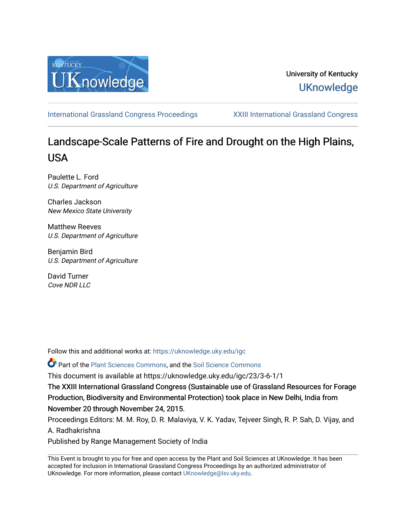

# University of Kentucky **UKnowledge**

[International Grassland Congress Proceedings](https://uknowledge.uky.edu/igc) [XXIII International Grassland Congress](https://uknowledge.uky.edu/igc/23) 

# Landscape-Scale Patterns of Fire and Drought on the High Plains, USA

Paulette L. Ford U.S. Department of Agriculture

Charles Jackson New Mexico State University

Matthew Reeves U.S. Department of Agriculture

Benjamin Bird U.S. Department of Agriculture

David Turner Cove NDR LLC

Follow this and additional works at: [https://uknowledge.uky.edu/igc](https://uknowledge.uky.edu/igc?utm_source=uknowledge.uky.edu%2Figc%2F23%2F3-6-1%2F1&utm_medium=PDF&utm_campaign=PDFCoverPages) 

Part of the [Plant Sciences Commons](http://network.bepress.com/hgg/discipline/102?utm_source=uknowledge.uky.edu%2Figc%2F23%2F3-6-1%2F1&utm_medium=PDF&utm_campaign=PDFCoverPages), and the [Soil Science Commons](http://network.bepress.com/hgg/discipline/163?utm_source=uknowledge.uky.edu%2Figc%2F23%2F3-6-1%2F1&utm_medium=PDF&utm_campaign=PDFCoverPages) 

This document is available at https://uknowledge.uky.edu/igc/23/3-6-1/1

The XXIII International Grassland Congress (Sustainable use of Grassland Resources for Forage Production, Biodiversity and Environmental Protection) took place in New Delhi, India from November 20 through November 24, 2015.

Proceedings Editors: M. M. Roy, D. R. Malaviya, V. K. Yadav, Tejveer Singh, R. P. Sah, D. Vijay, and A. Radhakrishna

Published by Range Management Society of India

This Event is brought to you for free and open access by the Plant and Soil Sciences at UKnowledge. It has been accepted for inclusion in International Grassland Congress Proceedings by an authorized administrator of UKnowledge. For more information, please contact [UKnowledge@lsv.uky.edu](mailto:UKnowledge@lsv.uky.edu).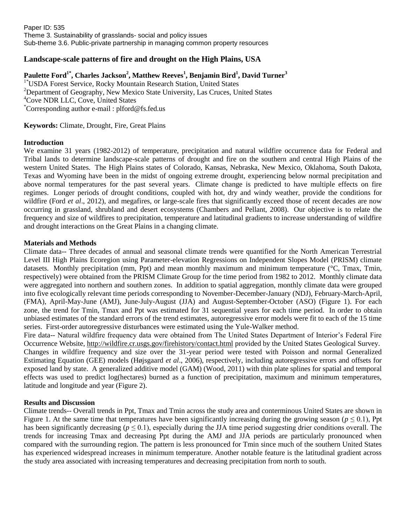## **Landscape-scale patterns of fire and drought on the High Plains, USA**

### **Paulette Ford1\* , Charles Jackson<sup>2</sup> , Matthew Reeves<sup>1</sup> , Benjamin Bird<sup>1</sup> , David Turner<sup>3</sup>**

<sup>1\*</sup>USDA Forest Service, Rocky Mountain Research Station, United States <sup>2</sup>Department of Geography, New Mexico State University, Las Cruces, United States <sup>4</sup>Cove NDR LLC, Cove, United States \*Corresponding author e-mail : plford@fs.fed.us

**Keywords:** Climate, Drought, Fire, Great Plains

#### **Introduction**

We examine 31 years (1982-2012) of temperature, precipitation and natural wildfire occurrence data for Federal and Tribal lands to determine landscape-scale patterns of drought and fire on the southern and central High Plains of the western United States. The High Plains states of Colorado, Kansas, Nebraska, New Mexico, Oklahoma, South Dakota, Texas and Wyoming have been in the midst of ongoing extreme drought, experiencing below normal precipitation and above normal temperatures for the past several years. Climate change is predicted to have multiple effects on fire regimes. Longer periods of drought conditions, coupled with hot, dry and windy weather, provide the conditions for wildfire (Ford *et al.*, 2012), and megafires, or large-scale fires that significantly exceed those of recent decades are now occurring in grassland, shrubland and desert ecosystems (Chambers and Pellant, 2008). Our objective is to relate the frequency and size of wildfires to precipitation, temperature and latitudinal gradients to increase understanding of wildfire and drought interactions on the Great Plains in a changing climate.

#### **Materials and Methods**

Climate data-- Three decades of annual and seasonal climate trends were quantified for the North American Terrestrial Level III High Plains Ecoregion using Parameter-elevation Regressions on Independent Slopes Model (PRISM) climate datasets. Monthly precipitation (mm, Ppt) and mean monthly maximum and minimum temperature (°C, Tmax, Tmin, respectively) were obtained from the PRISM Climate Group for the time period from 1982 to 2012. Monthly climate data were aggregated into northern and southern zones. In addition to spatial aggregation, monthly climate data were grouped into five ecologically relevant time periods corresponding to November-December-January (NDJ), February-March-April, (FMA), April-May-June (AMJ), June-July-August (JJA) and August-September-October (ASO) (Figure 1). For each zone, the trend for Tmin, Tmax and Ppt was estimated for 31 sequential years for each time period. In order to obtain unbiased estimates of the standard errors of the trend estimates, autoregressive error models were fit to each of the 15 time series. First-order autoregressive disturbances were estimated using the Yule-Walker method.

Fire data-- Natural wildfire frequency data were obtained from The United States Department of Interior's Federal Fire Occurrence Website,<http://wildfire.cr.usgs.gov/firehistory/contact.html> provided by the United States Geological Survey. Changes in wildfire frequency and size over the 31-year period were tested with Poisson and normal Generalized Estimating Equation (GEE) models (Højsgaard *et al*., 2006), respectively, including autoregressive errors and offsets for exposed land by state. A generalized additive model (GAM) (Wood, 2011) with thin plate splines for spatial and temporal effects was used to predict log(hectares) burned as a function of precipitation, maximum and minimum temperatures, latitude and longitude and year (Figure 2).

#### **Results and Discussion**

Climate trends-- Overall trends in Ppt, Tmax and Tmin across the study area and conterminous United States are shown in Figure 1. At the same time that temperatures have been significantly increasing during the growing season ( $p \le 0.1$ ), Ppt has been significantly decreasing ( $p \le 0.1$ ), especially during the JJA time period suggesting drier conditions overall. The trends for increasing Tmax and decreasing Ppt during the AMJ and JJA periods are particularly pronounced when compared with the surrounding region. The pattern is less pronounced for Tmin since much of the southern United States has experienced widespread increases in minimum temperature. Another notable feature is the latitudinal gradient across the study area associated with increasing temperatures and decreasing precipitation from north to south.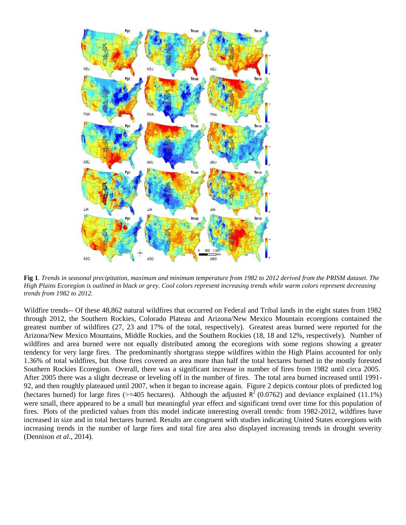

**Fig 1***. Trends in seasonal precipitation, maximum and minimum temperature from 1982 to 2012 derived from the PRISM dataset. The High Plains Ecoregion is outlined in black or grey. Cool colors represent increasing trends while warm colors represent decreasing trends from 1982 to 2012.*

Wildfire trends-- Of these 48,862 natural wildfires that occurred on Federal and Tribal lands in the eight states from 1982 through 2012, the Southern Rockies, Colorado Plateau and Arizona/New Mexico Mountain ecoregions contained the greatest number of wildfires (27, 23 and 17% of the total, respectively). Greatest areas burned were reported for the Arizona/New Mexico Mountains, Middle Rockies, and the Southern Rockies (18, 18 and 12%, respectively). Number of wildfires and area burned were not equally distributed among the ecoregions with some regions showing a greater tendency for very large fires. The predominantly shortgrass steppe wildfires within the High Plains accounted for only 1.36% of total wildfires, but those fires covered an area more than half the total hectares burned in the mostly forested Southern Rockies Ecoregion. Overall, there was a significant increase in number of fires from 1982 until circa 2005. After 2005 there was a slight decrease or leveling off in the number of fires. The total area burned increased until 1991- 92, and then roughly plateaued until 2007, when it began to increase again. Figure 2 depicts contour plots of predicted log (hectares burned) for large fires ( $> = 405$  hectares). Although the adjusted  $R^2$  (0.0762) and deviance explained (11.1%) were small, there appeared to be a small but meaningful year effect and significant trend over time for this population of fires. Plots of the predicted values from this model indicate interesting overall trends: from 1982-2012, wildfires have increased in size and in total hectares burned. Results are congruent with studies indicating United States ecoregions with increasing trends in the number of large fires and total fire area also displayed increasing trends in drought severity (Dennison *et al*., 2014).